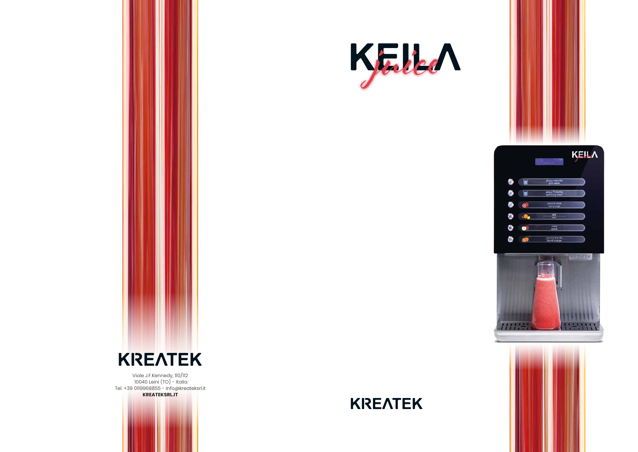

Viale J.F.Kennedy, 110/112 10040 Leini (TO) - Italia Tel. +39 0119968855 - info@kreateksrl.it

**KREATEKSRL.IT**



## **KREATEK**